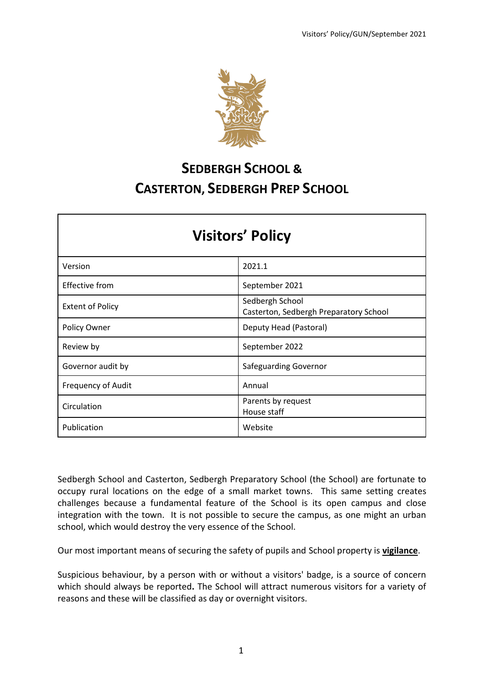

# **SEDBERGH SCHOOL & CASTERTON, SEDBERGH PREP SCHOOL**

| <b>Visitors' Policy</b>   |                                                           |  |  |  |  |
|---------------------------|-----------------------------------------------------------|--|--|--|--|
| Version                   | 2021.1                                                    |  |  |  |  |
| Effective from            | September 2021                                            |  |  |  |  |
| <b>Extent of Policy</b>   | Sedbergh School<br>Casterton, Sedbergh Preparatory School |  |  |  |  |
| <b>Policy Owner</b>       | Deputy Head (Pastoral)                                    |  |  |  |  |
| Review by                 | September 2022                                            |  |  |  |  |
| Governor audit by         | Safeguarding Governor                                     |  |  |  |  |
| <b>Frequency of Audit</b> | Annual                                                    |  |  |  |  |
| Circulation               | Parents by request<br>House staff                         |  |  |  |  |
| Publication               | Website                                                   |  |  |  |  |

Sedbergh School and Casterton, Sedbergh Preparatory School (the School) are fortunate to occupy rural locations on the edge of a small market towns. This same setting creates challenges because a fundamental feature of the School is its open campus and close integration with the town. It is not possible to secure the campus, as one might an urban school, which would destroy the very essence of the School.

Our most important means of securing the safety of pupils and School property is **vigilance**.

Suspicious behaviour, by a person with or without a visitors' badge, is a source of concern which should always be reported**.** The School will attract numerous visitors for a variety of reasons and these will be classified as day or overnight visitors.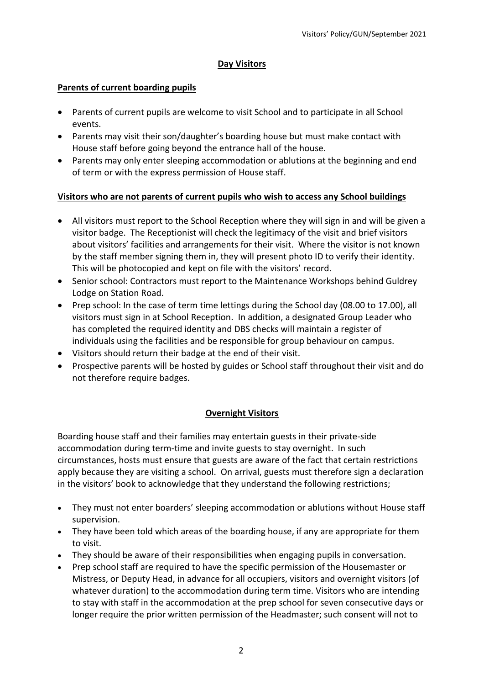### **Day Visitors**

### **Parents of current boarding pupils**

- Parents of current pupils are welcome to visit School and to participate in all School events.
- Parents may visit their son/daughter's boarding house but must make contact with House staff before going beyond the entrance hall of the house.
- Parents may only enter sleeping accommodation or ablutions at the beginning and end of term or with the express permission of House staff.

## **Visitors who are not parents of current pupils who wish to access any School buildings**

- All visitors must report to the School Reception where they will sign in and will be given a visitor badge. The Receptionist will check the legitimacy of the visit and brief visitors about visitors' facilities and arrangements for their visit. Where the visitor is not known by the staff member signing them in, they will present photo ID to verify their identity. This will be photocopied and kept on file with the visitors' record.
- Senior school: Contractors must report to the Maintenance Workshops behind Guldrey Lodge on Station Road.
- Prep school: In the case of term time lettings during the School day (08.00 to 17.00), all visitors must sign in at School Reception. In addition, a designated Group Leader who has completed the required identity and DBS checks will maintain a register of individuals using the facilities and be responsible for group behaviour on campus.
- Visitors should return their badge at the end of their visit.
- Prospective parents will be hosted by guides or School staff throughout their visit and do not therefore require badges.

## **Overnight Visitors**

Boarding house staff and their families may entertain guests in their private-side accommodation during term-time and invite guests to stay overnight. In such circumstances, hosts must ensure that guests are aware of the fact that certain restrictions apply because they are visiting a school. On arrival, guests must therefore sign a declaration in the visitors' book to acknowledge that they understand the following restrictions;

- They must not enter boarders' sleeping accommodation or ablutions without House staff supervision.
- They have been told which areas of the boarding house, if any are appropriate for them to visit.
- They should be aware of their responsibilities when engaging pupils in conversation.
- Prep school staff are required to have the specific permission of the Housemaster or Mistress, or Deputy Head, in advance for all occupiers, visitors and overnight visitors (of whatever duration) to the accommodation during term time. Visitors who are intending to stay with staff in the accommodation at the prep school for seven consecutive days or longer require the prior written permission of the Headmaster; such consent will not to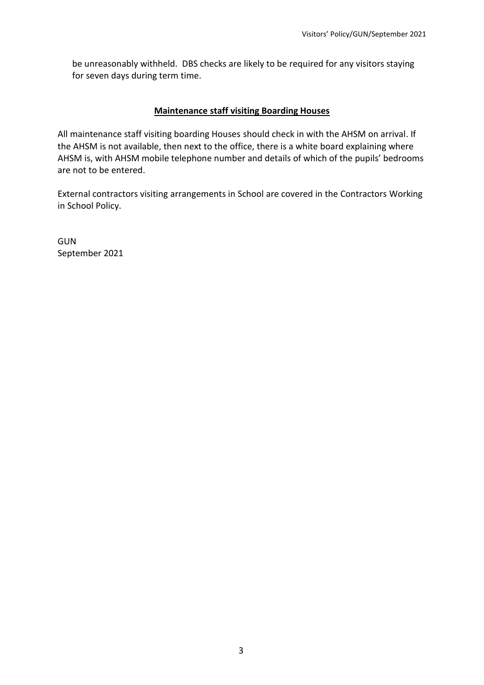be unreasonably withheld. DBS checks are likely to be required for any visitors staying for seven days during term time.

#### **Maintenance staff visiting Boarding Houses**

All maintenance staff visiting boarding Houses should check in with the AHSM on arrival. If the AHSM is not available, then next to the office, there is a white board explaining where AHSM is, with AHSM mobile telephone number and details of which of the pupils' bedrooms are not to be entered.

External contractors visiting arrangements in School are covered in the Contractors Working in School Policy.

GUN September 2021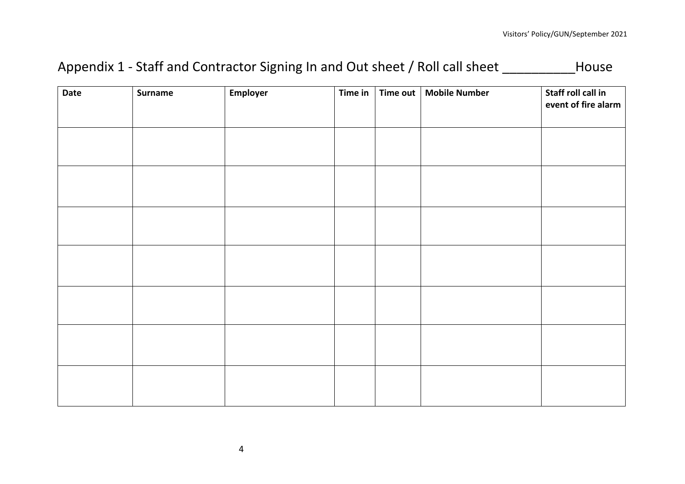# Appendix 1 - Staff and Contractor Signing In and Out sheet / Roll call sheet \_\_\_\_\_\_\_\_\_\_\_House

| Date | Surname | Employer | Time in $\vert$ | Time out | <b>Mobile Number</b> | Staff roll call in<br>event of fire alarm |
|------|---------|----------|-----------------|----------|----------------------|-------------------------------------------|
|      |         |          |                 |          |                      |                                           |
|      |         |          |                 |          |                      |                                           |
|      |         |          |                 |          |                      |                                           |
|      |         |          |                 |          |                      |                                           |
|      |         |          |                 |          |                      |                                           |
|      |         |          |                 |          |                      |                                           |
|      |         |          |                 |          |                      |                                           |
|      |         |          |                 |          |                      |                                           |